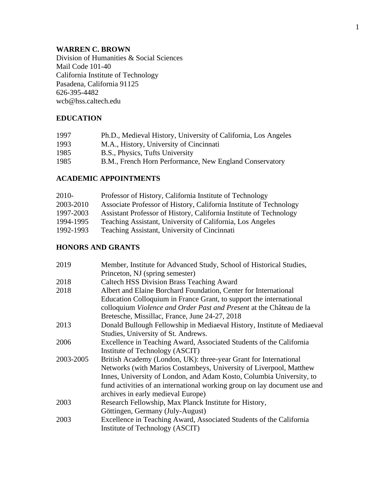# **WARREN C. BROWN**

Division of Humanities & Social Sciences Mail Code 101-40 California Institute of Technology Pasadena, California 91125 626-395-4482 wcb@hss.caltech.edu

# **EDUCATION**

| 1997 | Ph.D., Medieval History, University of California, Los Angeles |
|------|----------------------------------------------------------------|
| 1993 | M.A., History, University of Cincinnati                        |
| 1985 | B.S., Physics, Tufts University                                |
| 1985 | B.M., French Horn Performance, New England Conservatory        |

## **ACADEMIC APPOINTMENTS**

| 2010-     | Professor of History, California Institute of Technology           |
|-----------|--------------------------------------------------------------------|
| 2003-2010 | Associate Professor of History, California Institute of Technology |
| 1997-2003 | Assistant Professor of History, California Institute of Technology |
| 1994-1995 | Teaching Assistant, University of California, Los Angeles          |
| 1992-1993 | Teaching Assistant, University of Cincinnati                       |

# **HONORS AND GRANTS**

| 2019      | Member, Institute for Advanced Study, School of Historical Studies,       |
|-----------|---------------------------------------------------------------------------|
|           | Princeton, NJ (spring semester)                                           |
| 2018      | <b>Caltech HSS Division Brass Teaching Award</b>                          |
| 2018      | Albert and Elaine Borchard Foundation, Center for International           |
|           | Education Colloquium in France Grant, to support the international        |
|           | colloquium Violence and Order Past and Present at the Château de la       |
|           | Bretesche, Missillac, France, June 24-27, 2018                            |
| 2013      | Donald Bullough Fellowship in Mediaeval History, Institute of Mediaeval   |
|           | Studies, University of St. Andrews.                                       |
| 2006      | Excellence in Teaching Award, Associated Students of the California       |
|           | Institute of Technology (ASCIT)                                           |
| 2003-2005 | British Academy (London, UK): three-year Grant for International          |
|           | Networks (with Marios Costambeys, University of Liverpool, Matthew        |
|           | Innes, University of London, and Adam Kosto, Columbia University, to      |
|           | fund activities of an international working group on lay document use and |
|           | archives in early medieval Europe)                                        |
| 2003      | Research Fellowship, Max Planck Institute for History,                    |
|           | Göttingen, Germany (July-August)                                          |
| 2003      | Excellence in Teaching Award, Associated Students of the California       |
|           | Institute of Technology (ASCIT)                                           |
|           |                                                                           |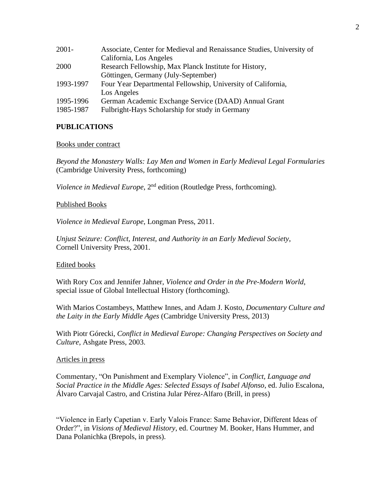| $2001 -$  | Associate, Center for Medieval and Renaissance Studies, University of |
|-----------|-----------------------------------------------------------------------|
|           | California, Los Angeles                                               |
| 2000      | Research Fellowship, Max Planck Institute for History,                |
|           | Göttingen, Germany (July-September)                                   |
| 1993-1997 | Four Year Departmental Fellowship, University of California,          |
|           | Los Angeles                                                           |
| 1995-1996 | German Academic Exchange Service (DAAD) Annual Grant                  |
| 1985-1987 | Fulbright-Hays Scholarship for study in Germany                       |
|           |                                                                       |

## **PUBLICATIONS**

## Books under contract

*Beyond the Monastery Walls: Lay Men and Women in Early Medieval Legal Formularies* (Cambridge University Press, forthcoming)

*Violence in Medieval Europe*, 2<sup>nd</sup> edition (Routledge Press, forthcoming).

## Published Books

*Violence in Medieval Europe*, Longman Press, 2011.

*Unjust Seizure: Conflict, Interest, and Authority in an Early Medieval Society*, Cornell University Press, 2001.

## Edited books

With Rory Cox and Jennifer Jahner, *Violence and Order in the Pre-Modern World*, special issue of Global Intellectual History (forthcoming).

With Marios Costambeys, Matthew Innes, and Adam J. Kosto, *Documentary Culture and the Laity in the Early Middle Ages* (Cambridge University Press, 2013)

With Piotr Górecki, *Conflict in Medieval Europe: Changing Perspectives on Society and Culture*, Ashgate Press, 2003.

## Articles in press

Commentary, "On Punishment and Exemplary Violence", in *Conflict, Language and Social Practice in the Middle Ages: Selected Essays of Isabel Alfonso*, ed. Julio Escalona, Álvaro Carvajal Castro, and Cristina Jular Pérez-Alfaro (Brill, in press)

"Violence in Early Capetian v. Early Valois France: Same Behavior, Different Ideas of Order?", in *Visions of Medieval History*, ed. Courtney M. Booker, Hans Hummer, and Dana Polanichka (Brepols, in press).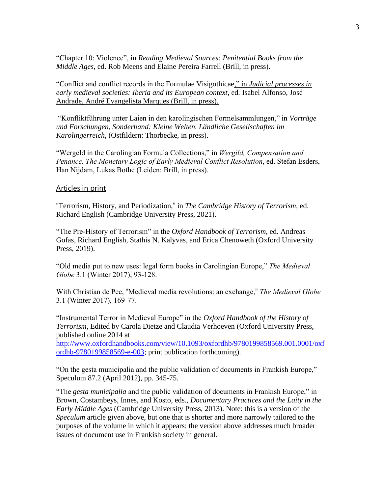"Chapter 10: Violence", in *Reading Medieval Sources: Penitential Books from the Middle Ages*, ed. Rob Meens and Elaine Pereira Farrell (Brill, in press).

"Conflict and conflict records in the Formulae Visigothicae," in *Judicial processes in early medieval societies: Iberia and its European context*, ed*.* Isabel Alfonso, José Andrade, André Evangelista Marques (Brill, in press).

"Konfliktführung unter Laien in den karolingischen Formelsammlungen," in *Vorträge und Forschungen*, *Sonderband: Kleine Welten. Ländliche Gesellschaften im Karolingerreich*, (Ostfildern: Thorbecke, in press).

"Wergeld in the Carolingian Formula Collections," in *Wergild, Compensation and Penance. The Monetary Logic of Early Medieval Conflict Resolution*, ed. Stefan Esders, Han Nijdam, Lukas Bothe (Leiden: Brill, in press).

## **Articles in print**

"Terrorism, History, and Periodization," in *The Cambridge History of Terrorism*, ed. Richard English (Cambridge University Press, 2021).

"The Pre-History of Terrorism" in the *Oxford Handbook of Terrorism*, ed. Andreas Gofas, Richard English, Stathis N. Kalyvas, and Erica Chenoweth (Oxford University Press, 2019).

"Old media put to new uses: legal form books in Carolingian Europe," *The Medieval Globe* 3.1 (Winter 2017), 93-128.

With Christian de Pee, "Medieval media revolutions: an exchange," *The Medieval Globe* 3.1 (Winter 2017), 169-77.

"Instrumental Terror in Medieval Europe" in the *Oxford Handbook of the History of Terrorism*, Edited by Carola Dietze and Claudia Verhoeven (Oxford University Press, published online 2014 at

[http://www.oxfordhandbooks.com/view/10.1093/oxfordhb/9780199858569.001.0001/oxf](http://www.oxfordhandbooks.com/view/10.1093/oxfordhb/9780199858569.001.0001/oxfordhb-9780199858569-e-003) [ordhb-9780199858569-e-003;](http://www.oxfordhandbooks.com/view/10.1093/oxfordhb/9780199858569.001.0001/oxfordhb-9780199858569-e-003) print publication forthcoming).

"On the gesta municipalia and the public validation of documents in Frankish Europe," Speculum 87.2 (April 2012), pp. 345-75.

"The *gesta municipalia* and the public validation of documents in Frankish Europe," in Brown, Costambeys, Innes, and Kosto, eds., *Documentary Practices and the Laity in the Early Middle Ages* (Cambridge University Press, 2013). Note: this is a version of the *Speculum* article given above, but one that is shorter and more narrowly tailored to the purposes of the volume in which it appears; the version above addresses much broader issues of document use in Frankish society in general.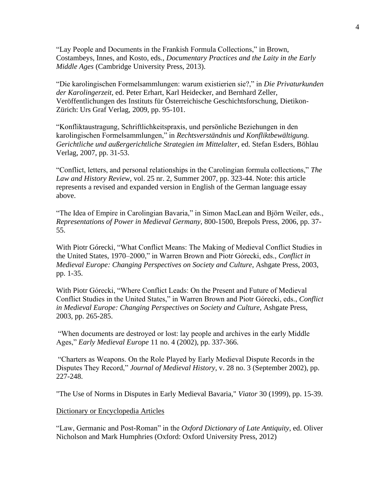"Lay People and Documents in the Frankish Formula Collections," in Brown, Costambeys, Innes, and Kosto, eds., *Documentary Practices and the Laity in the Early Middle Ages* (Cambridge University Press, 2013).

"Die karolingischen Formelsammlungen: warum existierien sie?," in *Die Privaturkunden der Karolingerzeit*, ed. Peter Erhart, Karl Heidecker, and Bernhard Zeller, Veröffentlichungen des Instituts für Österreichische Geschichtsforschung, Dietikon-Zürich: Urs Graf Verlag, 2009, pp. 95-101.

"Konfliktaustragung, Schriftlichkeitspraxis, und persönliche Beziehungen in den karolingischen Formelsammlungen," in *Rechtsverständnis und Konfliktbewältigung. Gerichtliche und außergerichtliche Strategien im Mittelalter*, ed. Stefan Esders, Böhlau Verlag, 2007, pp. 31-53.

"Conflict, letters, and personal relationships in the Carolingian formula collections," *The Law and History Review*, vol. 25 nr. 2, Summer 2007, pp. 323-44. Note: this article represents a revised and expanded version in English of the German language essay above.

"The Idea of Empire in Carolingian Bavaria," in Simon MacLean and Björn Weiler, eds., *Representations of Power in Medieval Germany*, 800-1500, Brepols Press, 2006, pp. 37- 55.

With Piotr Górecki, "What Conflict Means: The Making of Medieval Conflict Studies in the United States, 1970–2000," in Warren Brown and Piotr Górecki, eds., *Conflict in Medieval Europe: Changing Perspectives on Society and Culture*, Ashgate Press, 2003, pp. 1-35.

With Piotr Górecki, "Where Conflict Leads: On the Present and Future of Medieval Conflict Studies in the United States," in Warren Brown and Piotr Górecki, eds., *Conflict in Medieval Europe: Changing Perspectives on Society and Culture*, Ashgate Press, 2003, pp. 265-285.

"When documents are destroyed or lost: lay people and archives in the early Middle Ages," *Early Medieval Europe* 11 no. 4 (2002), pp. 337-366.

"Charters as Weapons. On the Role Played by Early Medieval Dispute Records in the Disputes They Record," *Journal of Medieval History*, v. 28 no. 3 (September 2002), pp. 227-248.

"The Use of Norms in Disputes in Early Medieval Bavaria," *Viator* 30 (1999), pp. 15-39.

### Dictionary or Encyclopedia Articles

"Law, Germanic and Post-Roman" in the *Oxford Dictionary of Late Antiquity*, ed. Oliver Nicholson and Mark Humphries (Oxford: Oxford University Press, 2012)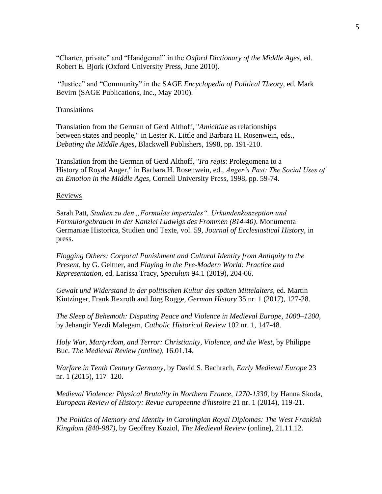"Charter, private" and "Handgemal" in the *Oxford Dictionary of the Middle Ages*, ed. Robert E. Bjork (Oxford University Press, June 2010).

"Justice" and "Community" in the SAGE *Encyclopedia of Political Theory*, ed. Mark Bevirn (SAGE Publications, Inc., May 2010).

## Translations

Translation from the German of Gerd Althoff, "*Amicitiae* as relationships between states and people," in Lester K. Little and Barbara H. Rosenwein, eds., *Debating the Middle Ages*, Blackwell Publishers, 1998, pp. 191-210.

Translation from the German of Gerd Althoff, "*Ira regis*: Prolegomena to a History of Royal Anger," in Barbara H. Rosenwein, ed., *Anger's Past: The Social Uses of an Emotion in the Middle Ages*, Cornell University Press, 1998, pp. 59-74.

#### Reviews

Sarah Patt, *Studien zu den "Formulae imperiales". Urkundenkonzeption und Formulargebrauch in der Kanzlei Ludwigs des Frommen (814-40)*. Monumenta Germaniae Historica, Studien und Texte, vol. 59, *Journal of Ecclesiastical History*, in press.

*Flogging Others: Corporal Punishment and Cultural Identity from Antiquity to the Present*, by G. Geltner, and *Flaying in the Pre-Modern World: Practice and Representation,* ed. Larissa Tracy, *Speculum* 94.1 (2019), 204-06.

*Gewalt und Widerstand in der politischen Kultur des späten Mittelalters,* ed. Martin Kintzinger, Frank Rexroth and Jörg Rogge*, German History* 35 nr. 1 (2017), 127-28.

*The Sleep of Behemoth: Disputing Peace and Violence in Medieval Europe, 1000–1200,*  by Jehangir Yezdi Malegam*, Catholic Historical Review* 102 nr. 1, 147-48.

*Holy War, Martyrdom, and Terror: Christianity, Violence, and the West*, by Philippe Buc*. The Medieval Review (online),* 16.01.14.

*Warfare in Tenth Century Germany*, by David S. Bachrach, *Early Medieval Europe* 23 nr. 1 (2015), 117–120.

*Medieval Violence: Physical Brutality in Northern France, 1270-1330,* by Hanna Skoda, *European Review of History: Revue europeenne d'histoire* 21 nr. 1 (2014), 119-21.

*The Politics of Memory and Identity in Carolingian Royal Diplomas: The West Frankish Kingdom (840-987)*, by Geoffrey Koziol, *The Medieval Review* (online), 21.11.12.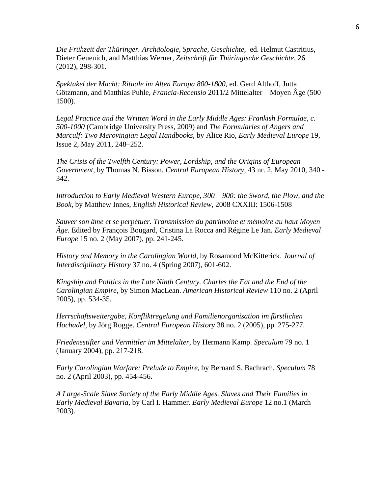*Die Frühzeit der Thüringer. Archäologie, Sprache, Geschichte*, ed. Helmut Castritius, Dieter Geuenich, and Matthias Werner, *Zeitschrift für Thüringische Geschichte*, 26 (2012), 298-301.

*Spektakel der Macht: Rituale im Alten Europa 800-1800*, ed. Gerd Althoff, Jutta Götzmann, and Matthias Puhle, *Francia-Recensio* 2011/2 Mittelalter – Moyen Âge (500– 1500).

Legal Practice and the Written Word in the Early Middle Ages: Frankish Formulae, c. *500-1000* (Cambridge University Press, 2009) and *The Formularies of Angers and Marculf: Two Merovingian Legal Handbooks*, by Alice Rio, *Early Medieval Europe* 19, Issue 2, May 2011, 248–252.

*The Crisis of the Twelfth Century: Power, Lordship, and the Origins of European Government*, by Thomas N. Bisson, *Central European History*, 43 nr. 2, May 2010, 340 - 342.

*Introduction to Early Medieval Western Europe, 300 – 900: the Sword, the Plow, and the Book*, by Matthew Innes, *English Historical Review*, 2008 CXXIII: 1506-1508

*Sauver son âme et se perpétuer. Transmission du patrimoine et mémoire au haut Moyen Âge.* Edited by François Bougard, Cristina La Rocca and Régine Le Jan. *Early Medieval Europe* 15 no. 2 (May 2007), pp. 241-245.

*History and Memory in the Carolingian World*, by Rosamond McKitterick. *Journal of Interdisciplinary History* 37 no. 4 (Spring 2007), 601-602.

*Kingship and Politics in the Late Ninth Century. Charles the Fat and the End of the Carolingian Empire*, by Simon MacLean. *American Historical Review* 110 no. 2 (April 2005), pp. 534-35.

*Herrschaftsweitergabe, Konfliktregelung und Familienorganisation im fürstlichen Hochadel*, by Jörg Rogge. *Central European History* 38 no. 2 (2005), pp. 275-277.

*Friedensstifter und Vermittler im Mittelalter*, by Hermann Kamp. *Speculum* 79 no. 1 (January 2004), pp. 217-218.

*Early Carolingian Warfare: Prelude to Empire*, by Bernard S. Bachrach. *Speculum* 78 no. 2 (April 2003), pp. 454-456.

*A Large-Scale Slave Society of the Early Middle Ages. Slaves and Their Families in Early Medieval Bavaria*, by Carl I. Hammer. *Early Medieval Europe* 12 no.1 (March 2003).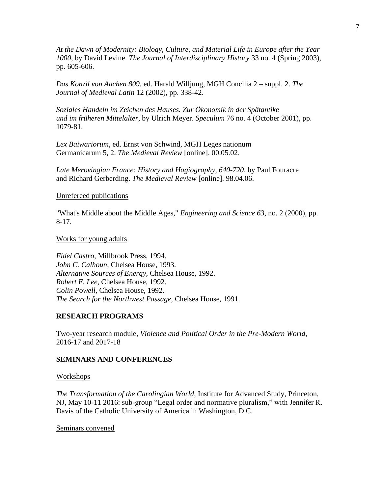*At the Dawn of Modernity: Biology, Culture, and Material Life in Europe after the Year 1000*, by David Levine. *The Journal of Interdisciplinary History* 33 no. 4 (Spring 2003), pp. 605-606.

*Das Konzil von Aachen 809*, ed. Harald Willjung, MGH Concilia 2 – suppl. 2. *The Journal of Medieval Latin* 12 (2002), pp. 338-42.

*Soziales Handeln im Zeichen des Hauses. Zur Ökonomik in der Spätantike und im früheren Mittelalter*, by Ulrich Meyer. *Speculum* 76 no. 4 (October 2001), pp. 1079-81.

*Lex Baiwariorum*, ed. Ernst von Schwind, MGH Leges nationum Germanicarum 5, 2. *The Medieval Review* [online]. 00.05.02.

*Late Merovingian France: History and Hagiography, 640-720*, by Paul Fouracre and Richard Gerberding. *The Medieval Review* [online]. 98.04.06.

#### Unrefereed publications

"What's Middle about the Middle Ages," *Engineering and Science 63*, no. 2 (2000), pp. 8-17.

#### Works for young adults

*Fidel Castro*, Millbrook Press, 1994. *John C. Calhoun*, Chelsea House, 1993. *Alternative Sources of Energy,* Chelsea House, 1992. *Robert E. Lee*, Chelsea House, 1992. *Colin Powell,* Chelsea House, 1992. *The Search for the Northwest Passage,* Chelsea House, 1991.

### **RESEARCH PROGRAMS**

Two-year research module, *Violence and Political Order in the Pre-Modern World*, 2016-17 and 2017-18

#### **SEMINARS AND CONFERENCES**

#### Workshops

*The Transformation of the Carolingian World*, Institute for Advanced Study, Princeton, NJ, May 10-11 2016: sub-group "Legal order and normative pluralism," with Jennifer R. Davis of the Catholic University of America in Washington, D.C.

## Seminars convened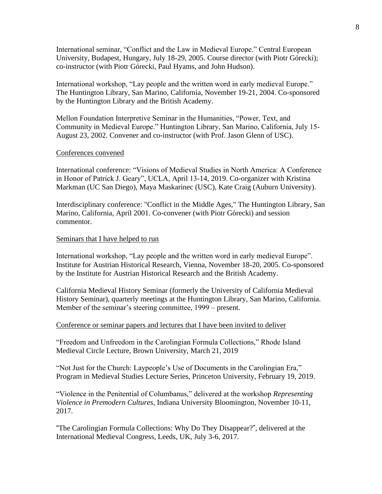International seminar, "Conflict and the Law in Medieval Europe." Central European University, Budapest, Hungary, July 18-29, 2005. Course director (with Piotr Górecki); co-instructor (with Piotr Górecki, Paul Hyams, and John Hudson).

International workshop, "Lay people and the written word in early medieval Europe." The Huntington Library, San Marino, California, November 19-21, 2004. Co-sponsored by the Huntington Library and the British Academy.

Mellon Foundation Interpretive Seminar in the Humanities, "Power, Text, and Community in Medieval Europe." Huntington Library, San Marino, California, July 15- August 23, 2002. Convener and co-instructor (with Prof. Jason Glenn of USC).

### Conferences convened

International conference: "Visions of Medieval Studies in North America: A Conference in Honor of Patrick J. Geary", UCLA, April 13-14, 2019. Co-organizer with Kristina Markman (UC San Diego), Maya Maskarinec (USC), Kate Craig (Auburn University).

Interdisciplinary conference: "Conflict in the Middle Ages," The Huntington Library, San Marino, California, April 2001. Co-convener (with Piotr Górecki) and session commentor.

### Seminars that I have helped to run

International workshop, "Lay people and the written word in early medieval Europe". Institute for Austrian Historical Research, Vienna, November 18-20, 2005. Co-sponsored by the Institute for Austrian Historical Research and the British Academy.

California Medieval History Seminar (formerly the University of California Medieval History Seminar), quarterly meetings at the Huntington Library, San Marino, California. Member of the seminar's steering committee, 1999 – present.

### Conference or seminar papers and lectures that I have been invited to deliver

"Freedom and Unfreedom in the Carolingian Formula Collections," Rhode Island Medieval Circle Lecture, Brown University, March 21, 2019

"Not Just for the Church: Laypeople's Use of Documents in the Carolingian Era," Program in Medieval Studies Lecture Series, Princeton University, February 19, 2019.

"Violence in the Penitential of Columbanus," delivered at the workshop *Representing Violence in Premodern Cultures*, Indiana University Bloomington, November 10-11, 2017.

"The Carolingian Formula Collections: Why Do They Disappear?", delivered at the International Medieval Congress, Leeds, UK, July 3-6, 2017.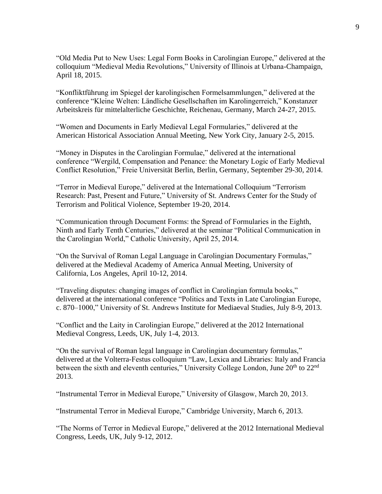"Old Media Put to New Uses: Legal Form Books in Carolingian Europe," delivered at the colloquium "Medieval Media Revolutions," University of Illinois at Urbana-Champaign, April 18, 2015.

"Konfliktführung im Spiegel der karolingischen Formelsammlungen," delivered at the conference "Kleine Welten: Ländliche Gesellschaften im Karolingerreich," Konstanzer Arbeitskreis für mittelalterliche Geschichte, Reichenau, Germany, March 24-27, 2015.

"Women and Documents in Early Medieval Legal Formularies," delivered at the American Historical Association Annual Meeting, New York City, January 2-5, 2015.

"Money in Disputes in the Carolingian Formulae," delivered at the international conference "Wergild, Compensation and Penance: the Monetary Logic of Early Medieval Conflict Resolution," Freie Universität Berlin, Berlin, Germany, September 29-30, 2014.

"Terror in Medieval Europe," delivered at the International Colloquium "Terrorism Research: Past, Present and Future," University of St. Andrews Center for the Study of Terrorism and Political Violence, September 19-20, 2014.

"Communication through Document Forms: the Spread of Formularies in the Eighth, Ninth and Early Tenth Centuries," delivered at the seminar "Political Communication in the Carolingian World," Catholic University, April 25, 2014.

"On the Survival of Roman Legal Language in Carolingian Documentary Formulas," delivered at the Medieval Academy of America Annual Meeting, University of California, Los Angeles, April 10-12, 2014.

"Traveling disputes: changing images of conflict in Carolingian formula books," delivered at the international conference "Politics and Texts in Late Carolingian Europe, c. 870–1000," University of St. Andrews Institute for Mediaeval Studies, July 8-9, 2013.

"Conflict and the Laity in Carolingian Europe," delivered at the 2012 International Medieval Congress, Leeds, UK, July 1-4, 2013.

"On the survival of Roman legal language in Carolingian documentary formulas," delivered at the Volterra-Festus colloquium "Law, Lexica and Libraries: Italy and Francia between the sixth and eleventh centuries," University College London, June  $20<sup>th</sup>$  to  $22<sup>nd</sup>$ 2013.

"Instrumental Terror in Medieval Europe," University of Glasgow, March 20, 2013.

"Instrumental Terror in Medieval Europe," Cambridge University, March 6, 2013.

"The Norms of Terror in Medieval Europe," delivered at the 2012 International Medieval Congress, Leeds, UK, July 9-12, 2012.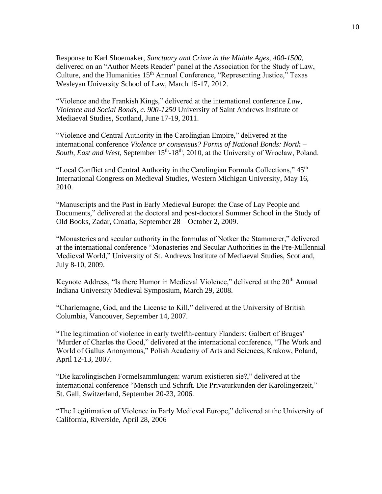Response to Karl Shoemaker, *Sanctuary and Crime in the Middle Ages, 400-1500,* delivered on an "Author Meets Reader" panel at the Association for the Study of Law, Culture, and the Humanities 15<sup>th</sup> Annual Conference, "Representing Justice," Texas Wesleyan University School of Law, March 15-17, 2012.

"Violence and the Frankish Kings," delivered at the international conference *Law, Violence and Social Bonds, c. 900-1250* University of Saint Andrews Institute of Mediaeval Studies, Scotland, June 17-19, 2011.

"Violence and Central Authority in the Carolingian Empire," delivered at the international conference *Violence or consensus? Forms of National Bonds: North –* South, East and West, September 15<sup>th</sup>-18<sup>th</sup>, 2010, at the University of Wrocław, Poland.

"Local Conflict and Central Authority in the Carolingian Formula Collections," 45<sup>th</sup> International Congress on Medieval Studies, Western Michigan University, May 16, 2010.

"Manuscripts and the Past in Early Medieval Europe: the Case of Lay People and Documents," delivered at the doctoral and post-doctoral Summer School in the Study of Old Books, Zadar, Croatia, September 28 – October 2, 2009.

"Monasteries and secular authority in the formulas of Notker the Stammerer," delivered at the international conference "Monasteries and Secular Authorities in the Pre-Millennial Medieval World," University of St. Andrews Institute of Mediaeval Studies, Scotland, July 8-10, 2009.

Keynote Address, "Is there Humor in Medieval Violence," delivered at the 20<sup>th</sup> Annual Indiana University Medieval Symposium, March 29, 2008.

"Charlemagne, God, and the License to Kill," delivered at the University of British Columbia, Vancouver, September 14, 2007.

"The legitimation of violence in early twelfth-century Flanders: Galbert of Bruges' 'Murder of Charles the Good," delivered at the international conference, "The Work and World of Gallus Anonymous," Polish Academy of Arts and Sciences, Krakow, Poland, April 12-13, 2007.

"Die karolingischen Formelsammlungen: warum existieren sie?," delivered at the international conference "Mensch und Schrift. Die Privaturkunden der Karolingerzeit," St. Gall, Switzerland, September 20-23, 2006.

"The Legitimation of Violence in Early Medieval Europe," delivered at the University of California, Riverside, April 28, 2006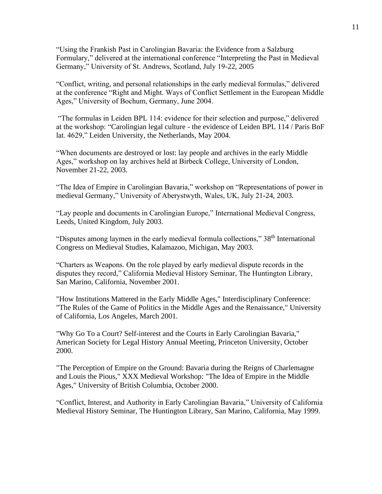"Using the Frankish Past in Carolingian Bavaria: the Evidence from a Salzburg Formulary," delivered at the international conference "Interpreting the Past in Medieval Germany," University of St. Andrews, Scotland, July 19-22, 2005

"Conflict, writing, and personal relationships in the early medieval formulas," delivered at the conference "Right and Might. Ways of Conflict Settlement in the European Middle Ages," University of Bochum, Germany, June 2004.

"The formulas in Leiden BPL 114: evidence for their selection and purpose," delivered at the workshop: "Carolingian legal culture - the evidence of Leiden BPL 114 / Paris BnF lat. 4629," Leiden University, the Netherlands, May 2004.

"When documents are destroyed or lost: lay people and archives in the early Middle Ages," workshop on lay archives held at Birbeck College, University of London, November 21-22, 2003.

"The Idea of Empire in Carolingian Bavaria," workshop on "Representations of power in medieval Germany," University of Aberystwyth, Wales, UK, July 21-24, 2003.

"Lay people and documents in Carolingian Europe," International Medieval Congress, Leeds, United Kingdom, July 2003.

"Disputes among laymen in the early medieval formula collections," 38<sup>th</sup> International Congress on Medieval Studies, Kalamazoo, Michigan, May 2003.

"Charters as Weapons. On the role played by early medieval dispute records in the disputes they record," California Medieval History Seminar, The Huntington Library, San Marino, California, November 2001.

"How Institutions Mattered in the Early Middle Ages," Interdisciplinary Conference: "The Rules of the Game of Politics in the Middle Ages and the Renaissance," University of California, Los Angeles, March 2001.

"Why Go To a Court? Self-interest and the Courts in Early Carolingian Bavaria," American Society for Legal History Annual Meeting, Princeton University, October 2000.

"The Perception of Empire on the Ground: Bavaria during the Reigns of Charlemagne and Louis the Pious," XXX Medieval Workshop: "The Idea of Empire in the Middle Ages," University of British Columbia, October 2000.

"Conflict, Interest, and Authority in Early Carolingian Bavaria," University of California Medieval History Seminar, The Huntington Library, San Marino, California, May 1999.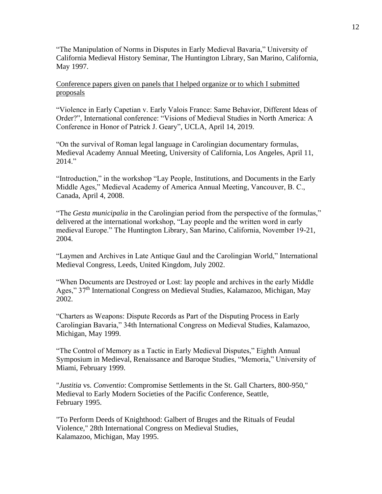"The Manipulation of Norms in Disputes in Early Medieval Bavaria," University of California Medieval History Seminar, The Huntington Library, San Marino, California, May 1997.

## Conference papers given on panels that I helped organize or to which I submitted proposals

"Violence in Early Capetian v. Early Valois France: Same Behavior, Different Ideas of Order?", International conference: "Visions of Medieval Studies in North America: A Conference in Honor of Patrick J. Geary", UCLA, April 14, 2019.

"On the survival of Roman legal language in Carolingian documentary formulas, Medieval Academy Annual Meeting, University of California, Los Angeles, April 11, 2014."

"Introduction," in the workshop "Lay People, Institutions, and Documents in the Early Middle Ages," Medieval Academy of America Annual Meeting, Vancouver, B. C., Canada, April 4, 2008.

"The *Gesta municipalia* in the Carolingian period from the perspective of the formulas," delivered at the international workshop, "Lay people and the written word in early medieval Europe." The Huntington Library, San Marino, California, November 19-21, 2004.

"Laymen and Archives in Late Antique Gaul and the Carolingian World," International Medieval Congress, Leeds, United Kingdom, July 2002.

"When Documents are Destroyed or Lost: lay people and archives in the early Middle Ages," 37<sup>th</sup> International Congress on Medieval Studies, Kalamazoo, Michigan, May 2002.

"Charters as Weapons: Dispute Records as Part of the Disputing Process in Early Carolingian Bavaria," 34th International Congress on Medieval Studies, Kalamazoo, Michigan, May 1999.

"The Control of Memory as a Tactic in Early Medieval Disputes," Eighth Annual Symposium in Medieval, Renaissance and Baroque Studies, "Memoria," University of Miami, February 1999.

"*Justitia* vs. *Conventio*: Compromise Settlements in the St. Gall Charters, 800-950," Medieval to Early Modern Societies of the Pacific Conference, Seattle, February 1995.

"To Perform Deeds of Knighthood: Galbert of Bruges and the Rituals of Feudal Violence," 28th International Congress on Medieval Studies, Kalamazoo, Michigan, May 1995.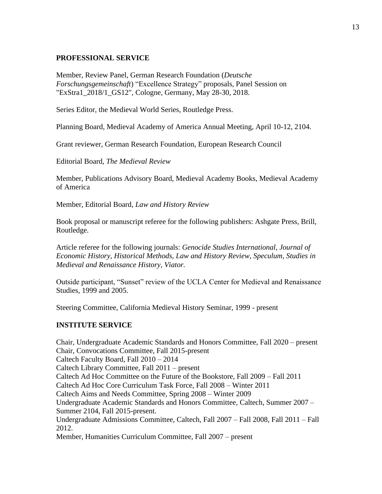## **PROFESSIONAL SERVICE**

Member, Review Panel, German Research Foundation (*Deutsche Forschungsgemeinschaft*) "Excellence Strategy" proposals, Panel Session on "ExStra1\_2018/1\_GS12", Cologne, Germany, May 28-30, 2018.

Series Editor, the Medieval World Series, Routledge Press.

Planning Board, Medieval Academy of America Annual Meeting, April 10-12, 2104.

Grant reviewer, German Research Foundation, European Research Council

Editorial Board, *The Medieval Review*

Member, Publications Advisory Board, Medieval Academy Books, Medieval Academy of America

Member, Editorial Board, *Law and History Review*

Book proposal or manuscript referee for the following publishers: Ashgate Press, Brill, Routledge.

Article referee for the following journals: *Genocide Studies International*, *Journal of Economic History, Historical Methods, Law and History Review, Speculum, Studies in Medieval and Renaissance History, Viator.*

Outside participant, "Sunset" review of the UCLA Center for Medieval and Renaissance Studies, 1999 and 2005.

Steering Committee, California Medieval History Seminar, 1999 - present

## **INSTITUTE SERVICE**

Chair, Undergraduate Academic Standards and Honors Committee, Fall 2020 – present Chair, Convocations Committee, Fall 2015-present Caltech Faculty Board, Fall 2010 – 2014 Caltech Library Committee, Fall 2011 – present Caltech Ad Hoc Committee on the Future of the Bookstore, Fall 2009 – Fall 2011 Caltech Ad Hoc Core Curriculum Task Force, Fall 2008 – Winter 2011 Caltech Aims and Needs Committee, Spring 2008 – Winter 2009 Undergraduate Academic Standards and Honors Committee, Caltech, Summer 2007 – Summer 2104, Fall 2015-present. Undergraduate Admissions Committee, Caltech, Fall 2007 – Fall 2008, Fall 2011 – Fall 2012. Member, Humanities Curriculum Committee, Fall 2007 – present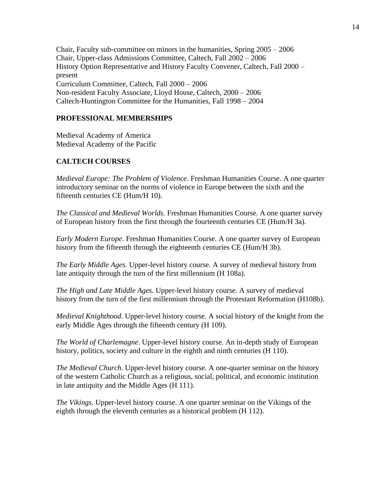Chair, Faculty sub-committee on minors in the humanities, Spring 2005 – 2006 Chair, Upper-class Admissions Committee, Caltech, Fall 2002 – 2006 History Option Representative and History Faculty Convener, Caltech, Fall 2000 – present Curriculum Committee, Caltech, Fall 2000 – 2006 Non-resident Faculty Associate, Lloyd House, Caltech, 2000 – 2006 Caltech-Huntington Committee for the Humanities, Fall 1998 – 2004

## **PROFESSIONAL MEMBERSHIPS**

Medieval Academy of America Medieval Academy of the Pacific

## **CALTECH COURSES**

*Medieval Europe: The Problem of Violence.* Freshman Humanities Course. A one quarter introductory seminar on the norms of violence in Europe between the sixth and the fifteenth centuries CE (Hum/H 10).

*The Classical and Medieval Worlds.* Freshman Humanities Course. A one quarter survey of European history from the first through the fourteenth centuries CE (Hum/H 3a).

*Early Modern Europe*. Freshman Humanities Course. A one quarter survey of European history from the fifteenth through the eighteenth centuries CE (Hum/H 3b).

*The Early Middle Ages*. Upper-level history course. A survey of medieval history from late antiquity through the turn of the first millennium (H 108a).

*The High and Late Middle Ages.* Upper-level history course. A survey of medieval history from the turn of the first millennium through the Protestant Reformation (H108b).

*Medieval Knighthood*. Upper-level history course. A social history of the knight from the early Middle Ages through the fifteenth century (H 109).

*The World of Charlemagne*. Upper-level history course. An in-depth study of European history, politics, society and culture in the eighth and ninth centuries (H 110).

*The Medieval Church*. Upper-level history course. A one-quarter seminar on the history of the western Catholic Church as a religious, social, political, and economic institution in late antiquity and the Middle Ages (H 111).

*The Vikings*. Upper-level history course. A one quarter seminar on the Vikings of the eighth through the eleventh centuries as a historical problem (H 112).